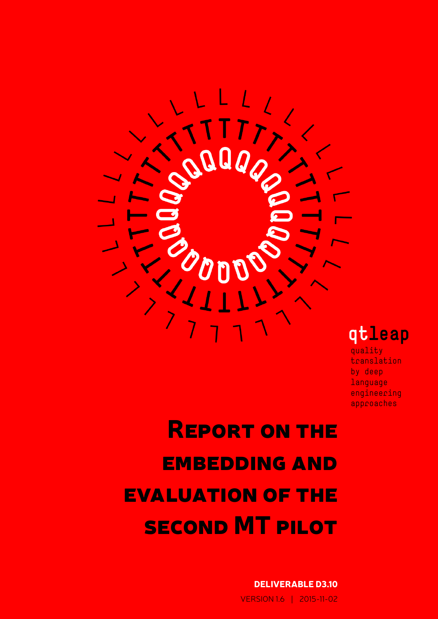

qtleap

quality translation by deep language engineering approaches

Report on the **EMBEDDING AND** evaluation of the second MT pilot

> DELIVERABLE D3.10 VERSION 1.6 | 2015-11-02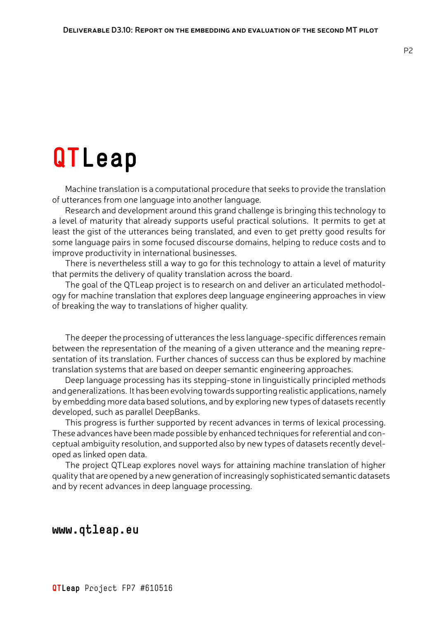# **QTLeap**

Machine translation is a computational procedure that seeks to provide the translation of utterances from one language into another language.

Research and development around this grand challenge is bringing this technology to a level of maturity that already supports useful practical solutions. It permits to get at least the gist of the utterances being translated, and even to get pretty good results for some language pairs in some focused discourse domains, helping to reduce costs and to improve productivity in international businesses.

There is nevertheless still a way to go for this technology to attain a level of maturity that permits the delivery of quality translation across the board.

The goal of the QTLeap project is to research on and deliver an articulated methodology for machine translation that explores deep language engineering approaches in view of breaking the way to translations of higher quality.

The deeper the processing of utterances the less language-specific differences remain between the representation of the meaning of a given utterance and the meaning representation of its translation. Further chances of success can thus be explored by machine translation systems that are based on deeper semantic engineering approaches.

Deep language processing has its stepping-stone in linguistically principled methods and generalizations. It has been evolving towards supporting realistic applications, namely by embedding more data based solutions, and by exploring new types of datasets recently developed, such as parallel DeepBanks.

This progress is further supported by recent advances in terms of lexical processing. These advances have been made possible by enhanced techniques for referential and conceptual ambiguity resolution, and supported also by new types of datasets recently developed as linked open data.

The project QTLeap explores novel ways for attaining machine translation of higher quality that are opened by a new generation of increasingly sophisticated semantic datasets and by recent advances in deep language processing.

**www.qtleap.eu**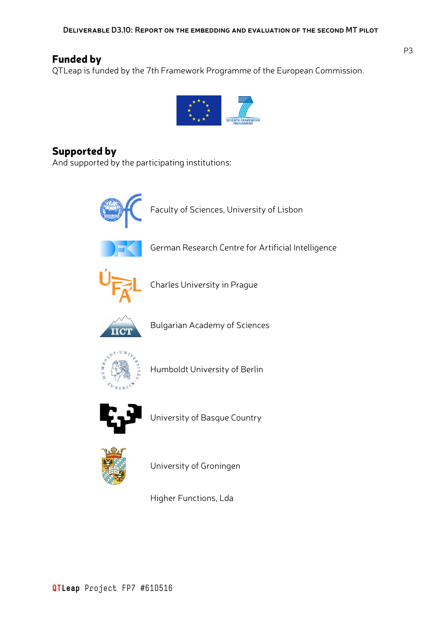### Funded by

QTLeap is funded by the 7th Framework Programme of the European Commission.



### Supported by

And supported by the participating institutions:



Higher Functions, Lda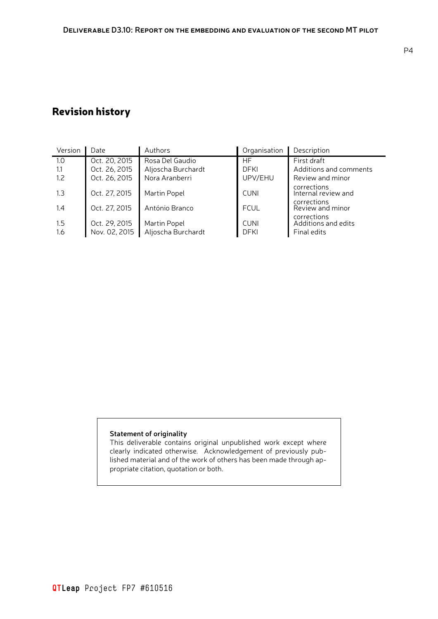## Revision history

| Version    | Date                           | Authors                            | Organisation               | Description                                       |
|------------|--------------------------------|------------------------------------|----------------------------|---------------------------------------------------|
| 1.0        | Oct. 20, 2015                  | Rosa Del Gaudio                    | <b>HF</b>                  | First draft                                       |
| 1.1        | Oct. 26, 2015                  | Aljoscha Burchardt                 | <b>DFKI</b>                | Additions and comments                            |
| 1.2        | Oct. 26, 2015                  | Nora Aranberri                     | UPV/EHU                    | Review and minor                                  |
| 1.3        | Oct. 27, 2015                  | Martin Popel                       | <b>CUNI</b>                | corrections<br>Internal review and                |
| 1.4        | Oct. 27, 2015                  | António Branco                     | <b>FCUL</b>                | corrections<br>Review and minor                   |
| 1.5<br>1.6 | Oct. 29, 2015<br>Nov. 02, 2015 | Martin Popel<br>Aljoscha Burchardt | <b>CUNI</b><br><b>DFKI</b> | corrections<br>Additions and edits<br>Final edits |

#### **Statement of originality**

This deliverable contains original unpublished work except where clearly indicated otherwise. Acknowledgement of previously published material and of the work of others has been made through appropriate citation, quotation or both.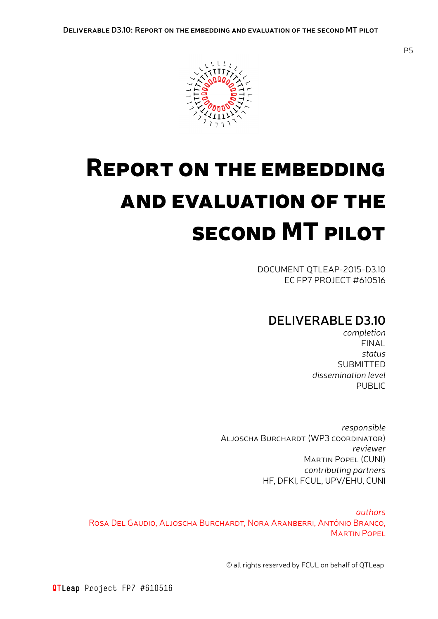

# Report on the embedding and evaluation of the second MT pilot

DOCUMENT QTLEAP-2015-D3.10 EC FP7 PROJECT #610516

## **DELIVERABLE D3.10**

*completion* FINAL *status* SUBMITTED *dissemination level* PUBLIC

*responsible* Aljoscha Burchardt (WP3 coordinator) *reviewer* Martin Popel (CUNI) *contributing partners* HF, DFKI, FCUL, UPV/EHU, CUNI

*authors* Rosa Del Gaudio, Aljoscha Burchardt, Nora Aranberri, António Branco, **MARTIN POPEL** 

© all rights reserved by FCUL on behalf of QTLeap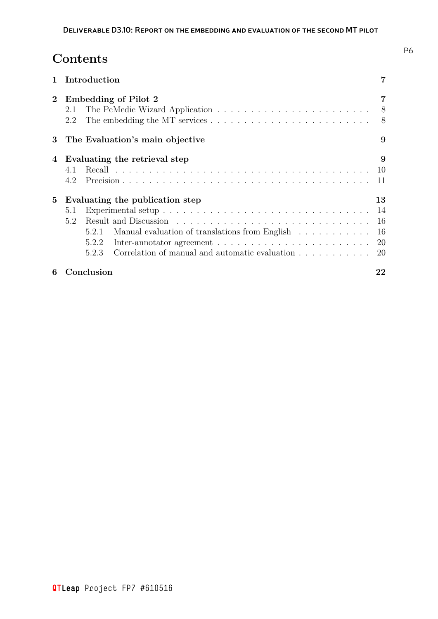## **Contents**

|          |            | Introduction            |                                                                                                                                                                                            |                |
|----------|------------|-------------------------|--------------------------------------------------------------------------------------------------------------------------------------------------------------------------------------------|----------------|
| $\bf{2}$ | 2.1<br>2.2 |                         | Embedding of Pilot 2                                                                                                                                                                       | - 8<br>- 8     |
| 3        |            |                         | The Evaluation's main objective                                                                                                                                                            | 9              |
| 4        | 4.1<br>4.2 |                         | Evaluating the retrieval step                                                                                                                                                              | 9<br>10<br>11  |
| 5        | 5.1<br>5.2 |                         | Evaluating the publication step                                                                                                                                                            | 13<br>14<br>16 |
|          |            | 5.2.1<br>5.2.2<br>5.2.3 | Manual evaluation of translations from English<br>Inter-annotator agreement $\ldots \ldots \ldots \ldots \ldots \ldots \ldots \ldots 20$<br>Correlation of manual and automatic evaluation | - 16<br>20     |
| 6        |            | Conclusion              |                                                                                                                                                                                            | 22             |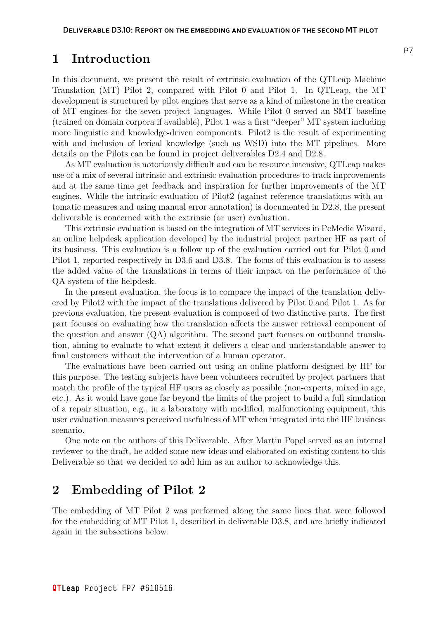#### <span id="page-6-0"></span>**1 Introduction**

In this document, we present the result of extrinsic evaluation of the QTLeap Machine Translation (MT) Pilot 2, compared with Pilot 0 and Pilot 1. In QTLeap, the MT development is structured by pilot engines that serve as a kind of milestone in the creation of MT engines for the seven project languages. While Pilot 0 served an SMT baseline (trained on domain corpora if available), Pilot 1 was a first "deeper" MT system including more linguistic and knowledge-driven components. Pilot2 is the result of experimenting with and inclusion of lexical knowledge (such as WSD) into the MT pipelines. More details on the Pilots can be found in project deliverables D2.4 and D2.8.

As MT evaluation is notoriously difficult and can be resource intensive, QTLeap makes use of a mix of several intrinsic and extrinsic evaluation procedures to track improvements and at the same time get feedback and inspiration for further improvements of the MT engines. While the intrinsic evaluation of Pilot2 (against reference translations with automatic measures and using manual error annotation) is documented in D2.8, the present deliverable is concerned with the extrinsic (or user) evaluation.

This extrinsic evaluation is based on the integration of MT services in PcMedic Wizard, an online helpdesk application developed by the industrial project partner HF as part of its business. This evaluation is a follow up of the evaluation carried out for Pilot 0 and Pilot 1, reported respectively in D3.6 and D3.8. The focus of this evaluation is to assess the added value of the translations in terms of their impact on the performance of the QA system of the helpdesk.

In the present evaluation, the focus is to compare the impact of the translation delivered by Pilot2 with the impact of the translations delivered by Pilot 0 and Pilot 1. As for previous evaluation, the present evaluation is composed of two distinctive parts. The first part focuses on evaluating how the translation affects the answer retrieval component of the question and answer (QA) algorithm. The second part focuses on outbound translation, aiming to evaluate to what extent it delivers a clear and understandable answer to final customers without the intervention of a human operator.

The evaluations have been carried out using an online platform designed by HF for this purpose. The testing subjects have been volunteers recruited by project partners that match the profile of the typical HF users as closely as possible (non-experts, mixed in age, etc.). As it would have gone far beyond the limits of the project to build a full simulation of a repair situation, e.g., in a laboratory with modified, malfunctioning equipment, this user evaluation measures perceived usefulness of MT when integrated into the HF business scenario.

One note on the authors of this Deliverable. After Martin Popel served as an internal reviewer to the draft, he added some new ideas and elaborated on existing content to this Deliverable so that we decided to add him as an author to acknowledge this.

## <span id="page-6-1"></span>**2 Embedding of Pilot 2**

The embedding of MT Pilot 2 was performed along the same lines that were followed for the embedding of MT Pilot 1, described in deliverable D3.8, and are briefly indicated again in the subsections below.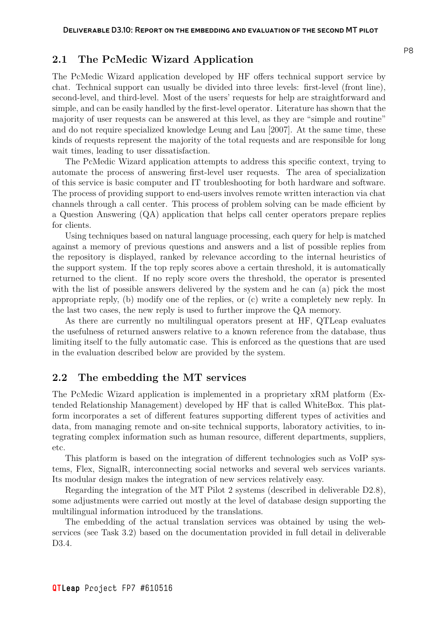#### **2.1 The PcMedic Wizard Application**

<span id="page-7-0"></span>The PcMedic Wizard application developed by HF offers technical support service by chat. Technical support can usually be divided into three levels: first-level (front line), second-level, and third-level. Most of the users' requests for help are straightforward and simple, and can be easily handled by the first-level operator. Literature has shown that the majority of user requests can be answered at this level, as they are "simple and routine" and do not require specialized knowledge Leung and Lau [2007]. At the same time, these kinds of requests represent the majority of the total requests and are responsible for long wait times, leading to user dissatisfaction.

The PcMedic Wizard application atte[mpts to address this](#page-21-0) specific context, trying to automate the process of answering first-level user requests. The area of specialization of this service is basic computer and IT troubleshooting for both hardware and software. The process of providing support to end-users involves remote written interaction via chat channels through a call center. This process of problem solving can be made efficient by a Question Answering (QA) application that helps call center operators prepare replies for clients.

Using techniques based on natural language processing, each query for help is matched against a memory of previous questions and answers and a list of possible replies from the repository is displayed, ranked by relevance according to the internal heuristics of the support system. If the top reply scores above a certain threshold, it is automatically returned to the client. If no reply score overs the threshold, the operator is presented with the list of possible answers delivered by the system and he can (a) pick the most appropriate reply, (b) modify one of the replies, or (c) write a completely new reply. In the last two cases, the new reply is used to further improve the QA memory.

As there are currently no multilingual operators present at HF, QTLeap evaluates the usefulness of returned answers relative to a known reference from the database, thus limiting itself to the fully automatic case. This is enforced as the questions that are used in the evaluation described below are provided by the system.

#### **2.2 The embedding the MT services**

<span id="page-7-1"></span>The PcMedic Wizard application is implemented in a proprietary xRM platform (Extended Relationship Management) developed by HF that is called WhiteBox. This platform incorporates a set of different features supporting different types of activities and data, from managing remote and on-site technical supports, laboratory activities, to integrating complex information such as human resource, different departments, suppliers, etc.

This platform is based on the integration of different technologies such as VoIP systems, Flex, SignalR, interconnecting social networks and several web services variants. Its modular design makes the integration of new services relatively easy.

Regarding the integration of the MT Pilot 2 systems (described in deliverable D2.8), some adjustments were carried out mostly at the level of database design supporting the multilingual information introduced by the translations.

The embedding of the actual translation services was obtained by using the webservices (see Task 3.2) based on the documentation provided in full detail in deliverable D3.4.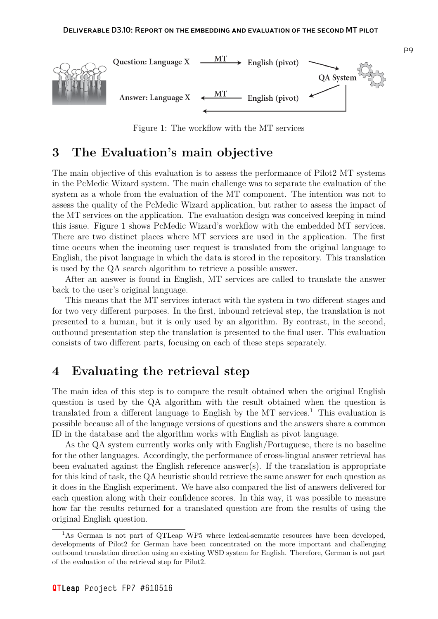

<span id="page-8-2"></span>Figure 1: The workflow with the MT services

## **3 The Evaluation's main objective**

<span id="page-8-0"></span>The main objective of this evaluation is to assess the performance of Pilot2 MT systems in the PcMedic Wizard system. The main challenge was to separate the evaluation of the system as a whole from the evaluation of the MT component. The intention was not to assess the quality of the PcMedic Wizard application, but rather to assess the impact of the MT services on the application. The evaluation design was conceived keeping in mind this issue. Figure 1 shows PcMedic Wizard's workflow with the embedded MT services. There are two distinct places where MT services are used in the application. The first time occurs when the incoming user request is translated from the original language to English, the pivot [la](#page-8-2)nguage in which the data is stored in the repository. This translation is used by the QA search algorithm to retrieve a possible answer.

After an answer is found in English, MT services are called to translate the answer back to the user's original language.

This means that the MT services interact with the system in two different stages and for two very different purposes. In the first, inbound retrieval step, the translation is not presented to a human, but it is only used by an algorithm. By contrast, in the second, outbound presentation step the translation is presented to the final user. This evaluation consists of two different parts, focusing on each of these steps separately.

## **4 Evaluating the retrieval step**

<span id="page-8-1"></span>The main idea of this step is to compare the result obtained when the original English question is used by the QA algorithm with the result obtained when the question is translated from a different language to English by the MT services.<sup>1</sup> This evaluation is possible because all of the language versions of questions and the answers share a common ID in the database and the algorithm works with English as pivot language.

As the QA system currently works only with English/Portuguese[,](#page-8-3) there is no baseline for the other languages. Accordingly, the performance of cross-lingual answer retrieval has been evaluated against the English reference answer(s). If the translation is appropriate for this kind of task, the QA heuristic should retrieve the same answer for each question as it does in the English experiment. We have also compared the list of answers delivered for each question along with their confidence scores. In this way, it was possible to measure how far the results returned for a translated question are from the results of using the original English question.

<span id="page-8-3"></span><sup>&</sup>lt;sup>1</sup>As German is not part of QTLeap WP5 where lexical-semantic resources have been developed, developments of Pilot2 for German have been concentrated on the more important and challenging outbound translation direction using an existing WSD system for English. Therefore, German is not part of the evaluation of the retrieval step for Pilot2.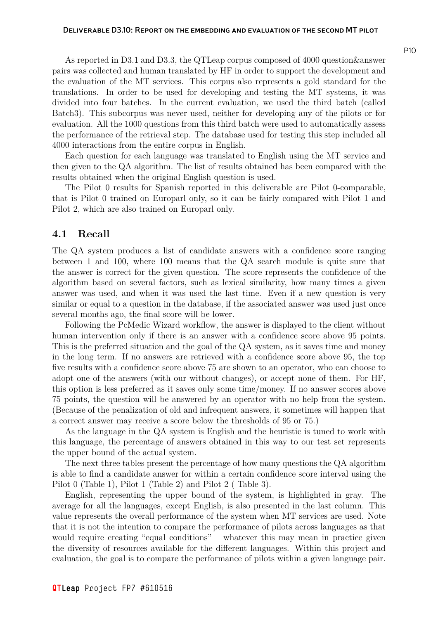As reported in D3.1 and D3.3, the QTLeap corpus composed of 4000 question&answer pairs was collected and human translated by HF in order to support the development and the evaluation of the MT services. This corpus also represents a gold standard for the translations. In order to be used for developing and testing the MT systems, it was divided into four batches. In the current evaluation, we used the third batch (called Batch3). This subcorpus was never used, neither for developing any of the pilots or for evaluation. All the 1000 questions from this third batch were used to automatically assess the performance of the retrieval step. The database used for testing this step included all 4000 interactions from the entire corpus in English.

Each question for each language was translated to English using the MT service and then given to the QA algorithm. The list of results obtained has been compared with the results obtained when the original English question is used.

The Pilot 0 results for Spanish reported in this deliverable are Pilot 0-comparable, that is Pilot 0 trained on Europarl only, so it can be fairly compared with Pilot 1 and Pilot 2, which are also trained on Europarl only.

#### **4.1 Recall**

<span id="page-9-0"></span>The QA system produces a list of candidate answers with a confidence score ranging between 1 and 100, where 100 means that the QA search module is quite sure that the answer is correct for the given question. The score represents the confidence of the algorithm based on several factors, such as lexical similarity, how many times a given answer was used, and when it was used the last time. Even if a new question is very similar or equal to a question in the database, if the associated answer was used just once several months ago, the final score will be lower.

Following the PcMedic Wizard workflow, the answer is displayed to the client without human intervention only if there is an answer with a confidence score above 95 points. This is the preferred situation and the goal of the QA system, as it saves time and money in the long term. If no answers are retrieved with a confidence score above 95, the top five results with a confidence score above 75 are shown to an operator, who can choose to adopt one of the answers (with our without changes), or accept none of them. For HF, this option is less preferred as it saves only some time/money. If no answer scores above 75 points, the question will be answered by an operator with no help from the system. (Because of the penalization of old and infrequent answers, it sometimes will happen that a correct answer may receive a score below the thresholds of 95 or 75.)

As the language in the QA system is English and the heuristic is tuned to work with this language, the percentage of answers obtained in this way to our test set represents the upper bound of the actual system.

The next three tables present the percentage of how many questions the QA algorithm is able to find a candidate answer for within a certain confidence score interval using the Pilot 0 (Table 1), Pilot 1 (Table 2) and Pilot 2 ( Table 3).

English, representing the upper bound of the system, is highlighted in gray. The average for all the languages, except English, is also presented in the last column. This value represen[ts](#page-10-1) the overall perf[orm](#page-10-2)ance of the system [w](#page-11-0)hen MT services are used. Note that it is not the intention to compare the performance of pilots across languages as that would require creating "equal conditions" – whatever this may mean in practice given the diversity of resources available for the different languages. Within this project and evaluation, the goal is to compare the performance of pilots within a given language pair.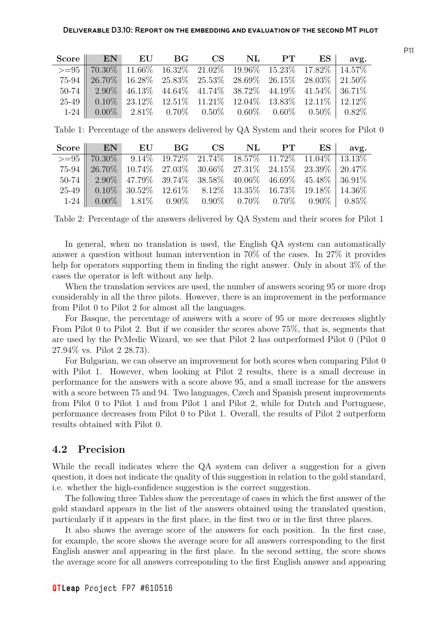| Score EN EU BG CS NL PT ES avg.                                                              |  |  |  |  |
|----------------------------------------------------------------------------------------------|--|--|--|--|
| $> = 95$   $70.30\%$ $11.66\%$ $16.32\%$ $21.02\%$ $19.96\%$ $15.23\%$ $17.82\%$   $14.57\%$ |  |  |  |  |
| $75-94$   26.70%   16.28% 25.83% 25.53% 28.69% 26.15% 28.03%   21.50%                        |  |  |  |  |
| $50-74$   $2.90\%$ 46.13\% 44.64\% 41.74\% 38.72\% 44.19\% 41.54\% 36.71\%                   |  |  |  |  |
| $25-49$   $0.10\%$ 23.12% 12.51% 11.21% 12.04% 13.83% 12.11% 12.12%                          |  |  |  |  |
| $1-24$ 0.00% 2.81% 0.70% 0.50% 0.60% 0.60% 0.50% 0.82%                                       |  |  |  |  |

<span id="page-10-1"></span>Table 1: Percentage of the answers delivered by QA System and their scores for Pilot 0

| Score EN EU BG CS NL PT ES avg.                                                                                                                                                                                                   |  |  |  |  |
|-----------------------------------------------------------------------------------------------------------------------------------------------------------------------------------------------------------------------------------|--|--|--|--|
| $> = 95$   70.30\% 9.14\% 19.72\% 21.74\% 18.57\% 11.72\% 11.04\% 13.13\%                                                                                                                                                         |  |  |  |  |
|                                                                                                                                                                                                                                   |  |  |  |  |
| $\begin{array}{c cccccc} 75\text{-}94 & 26.70\% & 10.74\% & 27.03\% & 30.66\% & 27.31\% & 24.15\% & 23.39\% & 20.47\% \\ 50\text{-}74 & 2.90\% & 47.79\% & 39.74\% & 38.58\% & 40.06\% & 46.69\% & 45.48\% & 36.91\% \end{array}$ |  |  |  |  |
| $25-49$ 0.10\% 30.52\% 12.61\% 8.12\% 13.35\% 16.73\% 19.18\% 14.36\%                                                                                                                                                             |  |  |  |  |
| $1-24$ 0.00% 1.81% 0.90% 0.90% 0.70% 0.70% 0.90% 0.85%                                                                                                                                                                            |  |  |  |  |

<span id="page-10-2"></span>Table 2: Percentage of the answers delivered by QA System and their scores for Pilot 1

In general, when no translation is used, the English QA system can automatically answer a question without human intervention in 70% of the cases. In 27% it provides help for operators supporting them in finding the right answer. Only in about 3% of the cases the operator is left without any help.

When the translation services are used, the number of answers scoring 95 or more drop considerably in all the three pilots. However, there is an improvement in the performance from Pilot 0 to Pilot 2 for almost all the languages.

For Basque, the percentage of answers with a score of 95 or more decreases slightly From Pilot 0 to Pilot 2. But if we consider the scores above 75%, that is, segments that are used by the PcMedic Wizard, we see that Pilot 2 has outperformed Pilot 0 (Pilot 0 27.94% vs. Pilot 2 28.73).

For Bulgarian, we can observe an improvement for both scores when comparing Pilot 0 with Pilot 1. However, when looking at Pilot 2 results, there is a small decrease in performance for the answers with a score above 95, and a small increase for the answers with a score between 75 and 94. Two languages, Czech and Spanish present improvements from Pilot 0 to Pilot 1 and from Pilot 1 and Pilot 2, while for Dutch and Portuguese, performance decreases from Pilot 0 to Pilot 1. Overall, the results of Pilot 2 outperform results obtained with Pilot 0.

#### <span id="page-10-0"></span>**4.2 Precision**

While the recall indicates where the QA system can deliver a suggestion for a given question, it does not indicate the quality of this suggestion in relation to the gold standard, i.e. whether the high-confidence suggestion is the correct suggestion.

The following three Tables show the percentage of cases in which the first answer of the gold standard appears in the list of the answers obtained using the translated question, particularly if it appears in the first place, in the first two or in the first three places.

It also shows the average score of the answers for each position. In the first case, for example, the score shows the average score for all answers corresponding to the first English answer and appearing in the first place. In the second setting, the score shows the average score for all answers corresponding to the first English answer and appearing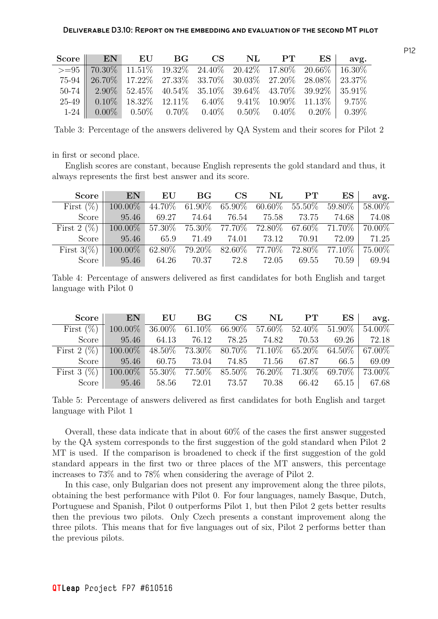| Score EN EU BG CS NL PT ES avg.                                                                                                                                                                                                                                                                                                                                                                                                                                                                                                                                                                                                                                                           |  |  |  |  |
|-------------------------------------------------------------------------------------------------------------------------------------------------------------------------------------------------------------------------------------------------------------------------------------------------------------------------------------------------------------------------------------------------------------------------------------------------------------------------------------------------------------------------------------------------------------------------------------------------------------------------------------------------------------------------------------------|--|--|--|--|
| $\left.\longrightarrow\rightleftharpoons\rightleftharpoons\rightleftharpoons\rightleftharpoons\rightleftharpoons\rightleftharpoons\rightleftharpoons\rightleftharpoons\rightleftharpoons\rightleftharpoons\rightleftharpoons\rightleftharpoons\rightleftharpoons\rightleftharpoons\rightleftharpoons\rightleftharpoons\rightleftharpoons\rightleftharpoons\rightleftharpoons\rightleftharpoons\leftleftharpoons\rightleftharpoons\rightleftharpoons\leftleftharpoons\rightleftharpoons\rightleftharpoons\leftleftharpoons\rightleftharpoons\rightleftharpoons\leftleftharpoons\rightleftharpoons\rightleftharpoons\leftleftharpoons\rightleftharpoons\leftleftharpoons\rightleftharpoons$ |  |  |  |  |
| 75-94   26.70%   17.22%   27.33%   33.70%   30.03%   27.20%   28.08%   23.37%                                                                                                                                                                                                                                                                                                                                                                                                                                                                                                                                                                                                             |  |  |  |  |
| $50-74$   $2.90\%$ $52.45\%$ $40.54\%$ $35.10\%$ $39.64\%$ $43.70\%$ $39.92\%$   $35.91\%$                                                                                                                                                                                                                                                                                                                                                                                                                                                                                                                                                                                                |  |  |  |  |
| $25-49$ 0.10\% 18.32\% 12.11\% 6.40\% 9.41\% 10.90\% 11.13\% 9.75\%                                                                                                                                                                                                                                                                                                                                                                                                                                                                                                                                                                                                                       |  |  |  |  |
| $1-24$ 0.00% 0.50% 0.70% 0.40% 0.50% 0.40% 0.20% 0.39%                                                                                                                                                                                                                                                                                                                                                                                                                                                                                                                                                                                                                                    |  |  |  |  |

<span id="page-11-0"></span>Table 3: Percentage of the answers delivered by QA System and their scores for Pilot 2

in first or second place.

English scores are constant, because English represents the gold standard and thus, it always represents the first best answer and its score.

| Score $\ \cdot\ $                                                                      |                                                                        |  |  |  | avg. |
|----------------------------------------------------------------------------------------|------------------------------------------------------------------------|--|--|--|------|
| First $(\%)$ 100.00% 44.70% 61.90% 65.90% 60.60% 55.50% 59.80% 58.00%                  |                                                                        |  |  |  |      |
|                                                                                        | Score   95.46 69.27 74.64 76.54 75.58 73.75 74.68 74.08                |  |  |  |      |
| First $2 (\%)$ 100.00% 57.30% 75.30% 77.70% 72.80% 67.60% 71.70% 70.00%                |                                                                        |  |  |  |      |
|                                                                                        | Score   $95.46$ $65.9$ $71.49$ $74.01$ $73.12$ $70.91$ $72.09$ $71.25$ |  |  |  |      |
| First $3(\%)$   100.00%   62.80%   79.20%   82.60%   77.70%   72.80%   77.10%   75.00% |                                                                        |  |  |  |      |
|                                                                                        | Score   95.46 64.26 70.37 72.8 72.05 69.55 70.59 69.94                 |  |  |  |      |

Table 4: Percentage of answers delivered as first candidates for both English and target language with Pilot 0

|                                                                                | $\text{Score}$ EN EU BG CS NL PT ES                       |  |  |  | avg. |
|--------------------------------------------------------------------------------|-----------------------------------------------------------|--|--|--|------|
| First $(\%)$ 100.00% 36.00% 61.10% 66.90% 57.60% 52.40% 51.90% 54.00%          |                                                           |  |  |  |      |
|                                                                                | Score   $95.46$ 64.13 76.12 78.25 74.82 70.53 69.26 72.18 |  |  |  |      |
| First 2 $(\%)$ 100.00% 48.50% 73.30% 80.70% 71.10% 65.20% 64.50% 67.00%        |                                                           |  |  |  |      |
|                                                                                | Score 95.46 60.75 73.04 74.85 71.56 67.87 66.5 69.09      |  |  |  |      |
| First 3 (%) $\boxed{100.00\%$ 55.30% 77.50% 85.50% 76.20% 71.30% 69.70% 73.00% |                                                           |  |  |  |      |
|                                                                                | Score 95.46 58.56 72.01 73.57 70.38 66.42 65.15 67.68     |  |  |  |      |

Table 5: Percentage of answers delivered as first candidates for both English and target language with Pilot 1

Overall, these data indicate that in about 60% of the cases the first answer suggested by the QA system corresponds to the first suggestion of the gold standard when Pilot 2 MT is used. If the comparison is broadened to check if the first suggestion of the gold standard appears in the first two or three places of the MT answers, this percentage increases to 73% and to 78% when considering the average of Pilot 2.

In this case, only Bulgarian does not present any improvement along the three pilots, obtaining the best performance with Pilot 0. For four languages, namely Basque, Dutch, Portuguese and Spanish, Pilot 0 outperforms Pilot 1, but then Pilot 2 gets better results then the previous two pilots. Only Czech presents a constant improvement along the three pilots. This means that for five languages out of six, Pilot 2 performs better than the previous pilots.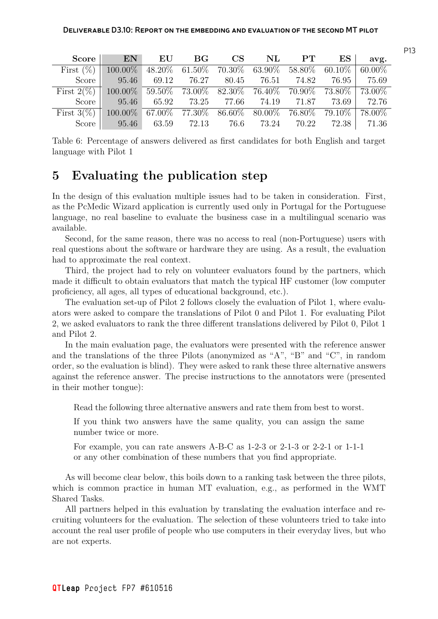|                                                                                    | Score EN EU BG CS NL PT ES                            |  |  |  | avg. |
|------------------------------------------------------------------------------------|-------------------------------------------------------|--|--|--|------|
| First $(\%)$ 100.00% 48.20% 61.50% 70.30% 63.90% 58.80% 60.10% 60.00%              |                                                       |  |  |  |      |
|                                                                                    | Score 95.46 69.12 76.27 80.45 76.51 74.82 76.95 75.69 |  |  |  |      |
| First $2(\%)$ 100.00% 59.50% 73.00% 82.30% 76.40% 70.90% 73.80% 73.00%             |                                                       |  |  |  |      |
|                                                                                    | Score 95.46 65.92 73.25 77.66 74.19 71.87 73.69 72.76 |  |  |  |      |
| First $3(\%)$   100.00\% 67.00\% 77.30\% 86.60\% 80.00\% 76.80\% 79.10\%   78.00\% |                                                       |  |  |  |      |
|                                                                                    | Score 95.46 63.59 72.13 76.6 73.24 70.22 72.38 71.36  |  |  |  |      |

Table 6: Percentage of answers delivered as first candidates for both English and target language with Pilot 1

## <span id="page-12-0"></span>**5 Evaluating the publication step**

In the design of this evaluation multiple issues had to be taken in consideration. First, as the PcMedic Wizard application is currently used only in Portugal for the Portuguese language, no real baseline to evaluate the business case in a multilingual scenario was available.

Second, for the same reason, there was no access to real (non-Portuguese) users with real questions about the software or hardware they are using. As a result, the evaluation had to approximate the real context.

Third, the project had to rely on volunteer evaluators found by the partners, which made it difficult to obtain evaluators that match the typical HF customer (low computer proficiency, all ages, all types of educational background, etc.).

The evaluation set-up of Pilot 2 follows closely the evaluation of Pilot 1, where evaluators were asked to compare the translations of Pilot 0 and Pilot 1. For evaluating Pilot 2, we asked evaluators to rank the three different translations delivered by Pilot 0, Pilot 1 and Pilot 2.

In the main evaluation page, the evaluators were presented with the reference answer and the translations of the three Pilots (anonymized as "A", "B" and "C", in random order, so the evaluation is blind). They were asked to rank these three alternative answers against the reference answer. The precise instructions to the annotators were (presented in their mother tongue):

Read the following three alternative answers and rate them from best to worst.

If you think two answers have the same quality, you can assign the same number twice or more.

For example, you can rate answers A-B-C as 1-2-3 or 2-1-3 or 2-2-1 or 1-1-1 or any other combination of these numbers that you find appropriate.

As will become clear below, this boils down to a ranking task between the three pilots, which is common practice in human MT evaluation, e.g., as performed in the WMT Shared Tasks.

All partners helped in this evaluation by translating the evaluation interface and recruiting volunteers for the evaluation. The selection of these volunteers tried to take into account the real user profile of people who use computers in their everyday lives, but who are not experts.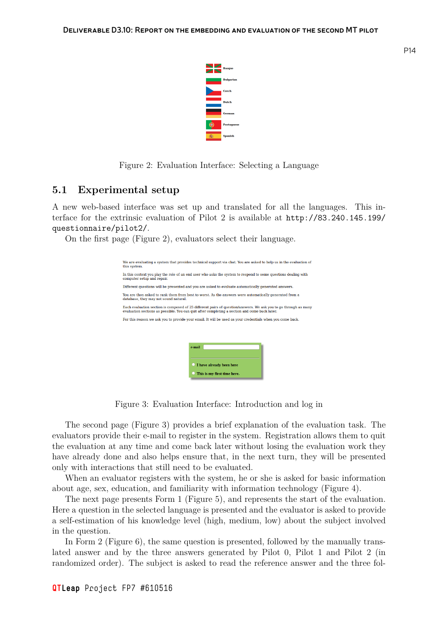

Figure 2: Evaluation Interface: Selecting a Language

#### **5.1 Experimental setup**

<span id="page-13-0"></span>A new web-based interface was set up and translated for all the languages. This interface for the extrinsic evaluation of Pilot 2 is available at http://83.240.145.199/ questionnaire/pilot2/.

On the first page (Figure 2), evaluators select their language.

| We are evaluating a system that provides technical support via chat. You are asked to help us in the evaluation of<br>this system.                                                                               |
|------------------------------------------------------------------------------------------------------------------------------------------------------------------------------------------------------------------|
| In this context you play the role of an end user who asks the system to respond to some questions dealing with<br>computer setup and repair.                                                                     |
| Different questions will be presented and you are asked to evaluate automatically generated answers.                                                                                                             |
| You are then asked to rank them from best to worst. As the answers were automatically generated from a<br>database, they may not sound natural.                                                                  |
| Each evaluation section is composed of 25 different pairs of question/answers. We ask you to go through as many<br>evaluation sections as possible. You can quit after completing a section and come back later. |
| For this reason we ask you to provide your email. It will be used as your credentials when you come back.<br>e-mail<br>I have already been here                                                                  |
| This is my first time here.                                                                                                                                                                                      |
|                                                                                                                                                                                                                  |

<span id="page-13-1"></span>Figure 3: Evaluation Interface: Introduction and log in

The second page (Figure 3) provides a brief explanation of the evaluation task. The evaluators provide their e-mail to register in the system. Registration allows them to quit the evaluation at any time and come back later without losing the evaluation work they have already done and also [he](#page-13-1)lps ensure that, in the next turn, they will be presented only with interactions that still need to be evaluated.

When an evaluator registers with the system, he or she is asked for basic information about age, sex, education, and familiarity with information technology (Figure 4).

The next page presents Form 1 (Figure 5), and represents the start of the evaluation. Here a question in the selected language is presented and the evaluator is asked to provide a self-estimation of his knowledge level (high, medium, low) about the subject [i](#page-14-0)nvolved in the question.

In Form 2 (Figure 6), the same question [i](#page-14-1)s presented, followed by the manually translated answer and by the three answers generated by Pilot 0, Pilot 1 and Pilot 2 (in randomized order). The subject is asked to read the reference answer and the three fol-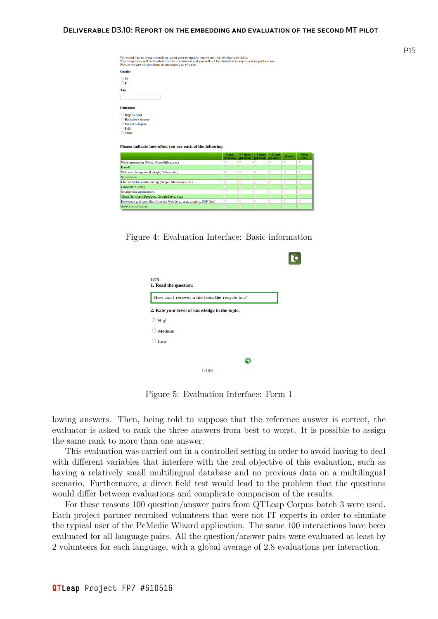| We would like to know something about your computer experience, knowledge and skills.<br>Your responses will be treated in strict confidence and you will not be identified in any report or publication.<br>Please answer all questions as accurately as you can. |  |
|--------------------------------------------------------------------------------------------------------------------------------------------------------------------------------------------------------------------------------------------------------------------|--|
| <b>Gender</b>                                                                                                                                                                                                                                                      |  |
| $\circ$ M<br>$\overline{\bigcirc}$ F                                                                                                                                                                                                                               |  |
| Age                                                                                                                                                                                                                                                                |  |
| <b>Education</b>                                                                                                                                                                                                                                                   |  |
| ○ High School<br>○ Bachelor's degree<br>○ Master's degree<br>$O$ PhD<br>O Other                                                                                                                                                                                    |  |

ease indicate how often you use each of the following

|                                                                       | Almost<br>every day | 3-4 times<br>per week |   | $1-2 \times 1$ = 1-2 times<br>per week per month | Rarely | <b>Never</b><br>used |
|-----------------------------------------------------------------------|---------------------|-----------------------|---|--------------------------------------------------|--------|----------------------|
| Word processing (Word, OpenOffice, etc.)                              |                     | C                     |   |                                                  |        |                      |
| E-mail                                                                |                     |                       |   |                                                  |        |                      |
| Web search engines (Google, Yahoo, etc.)                              |                     | C                     | œ |                                                  |        |                      |
| Spreadsheet                                                           |                     |                       |   |                                                  |        |                      |
| Chat or Video conferencing (Skype, Messenger, etc)                    |                     | C                     |   |                                                  |        |                      |
| <b>Computer Games</b>                                                 |                     |                       |   |                                                  |        |                      |
| <b>Smartphone applications</b>                                        |                     | C                     |   |                                                  |        |                      |
| Cloud Services (Dropbox, GoogleDrive, etc.)                           |                     |                       |   |                                                  |        |                      |
| Download and save files from the Web (e.g., text, graphic, PDF files) |                     | C                     |   |                                                  |        |                      |
| <b>Antivirus softwares</b>                                            |                     |                       |   |                                                  |        |                      |

Figure 4: Evaluation Interface: Basic information

<span id="page-14-0"></span>

| 1/25<br>1. Read the question:                  |  |
|------------------------------------------------|--|
| How can I recover a file from the recycle bin? |  |
| 2. Rate your level of knowledge in the topic:  |  |
| High                                           |  |
| Medium                                         |  |
| $\circ$ Low                                    |  |
|                                                |  |
|                                                |  |
| 1/100                                          |  |

<span id="page-14-1"></span>Figure 5: Evaluation Interface: Form 1

lowing answers. Then, being told to suppose that the reference answer is correct, the evaluator is asked to rank the three answers from best to worst. It is possible to assign the same rank to more than one answer.

This evaluation was carried out in a controlled setting in order to avoid having to deal with different variables that interfere with the real objective of this evaluation, such as having a relatively small multilingual database and no previous data on a multilingual scenario. Furthermore, a direct field test would lead to the problem that the questions would differ between evaluations and complicate comparison of the results.

For these reasons 100 question/answer pairs from QTLeap Corpus batch 3 were used. Each project partner recruited volunteers that were not IT experts in order to simulate the typical user of the PcMedic Wizard application. The same 100 interactions have been evaluated for all language pairs. All the question/answer pairs were evaluated at least by 2 volunteers for each language, with a global average of 2.8 evaluations per interaction.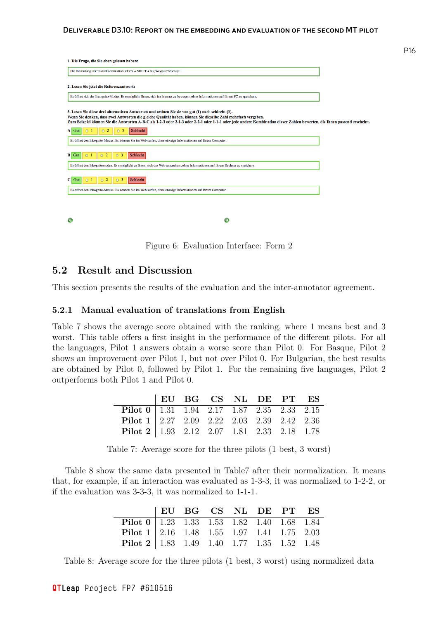| 1. Die Frage, die Sie eben gelesen haben:                                                                                                                                                                                                                                                                                                                                                    |  |
|----------------------------------------------------------------------------------------------------------------------------------------------------------------------------------------------------------------------------------------------------------------------------------------------------------------------------------------------------------------------------------------------|--|
| Die Bedeutung der Tastenkombination STRG + SHIFT + N (Google Chrome)?                                                                                                                                                                                                                                                                                                                        |  |
| 2. Lesen Sie jetzt die Referenzantwort:                                                                                                                                                                                                                                                                                                                                                      |  |
| Es öffnet sich der Incognito-Modus. Es ermöglicht Ihnen, sich im Internet zu bewegen, ohne Informationen auf Ihrem PC zu speichern.                                                                                                                                                                                                                                                          |  |
| 3. Lesen Sie diese drei alternativen Antworten und ordnen Sie sie von gut (1) nach schlecht (3).<br>Wenn Sie denken, dass zwei Antworten die gleiche Qualität haben, können Sie dieselbe Zahl mehrfach vergeben.<br>Zum Beispiel können Sie die Antworten A-B-C als 1-2-3 oder 2-1-3 oder 2-2-1 oder 1-1-1 oder jede andere Kombination dieser Zahlen bewerten, die Ihnen passend erscheint. |  |
| $\circ$ 2<br>Schlecht<br>O <sub>3</sub><br>$A$ Gut<br>$\circ$ 1                                                                                                                                                                                                                                                                                                                              |  |
| Es öffnet den Inkognito-Modus. Es können Sie im Web surfen, ohne etwaige Informationen auf Ihrem Computer.                                                                                                                                                                                                                                                                                   |  |
| Schlecht<br>0 <sup>2</sup><br>$B$ Gut<br>0 <sup>3</sup><br>$\circ$ 1                                                                                                                                                                                                                                                                                                                         |  |
| Es öffnet den Inkognitomodus. Es ermöglicht es Ihnen, sich das Web anzusehen, ohne Informationen auf Ihrem Rechner zu speichern.                                                                                                                                                                                                                                                             |  |
| Schlecht<br>$C$ Gut<br>0 <sup>2</sup><br>3<br>$\Omega$                                                                                                                                                                                                                                                                                                                                       |  |
| Es öffnet den Inkognito-Modus. Es können Sie im Web surfen, ohne etwaige Informationen auf Ihrem Computer.                                                                                                                                                                                                                                                                                   |  |
|                                                                                                                                                                                                                                                                                                                                                                                              |  |
| Ð                                                                                                                                                                                                                                                                                                                                                                                            |  |

Figure 6: Evaluation Interface: Form 2

#### **5.2 Result and Discussion**

This section presents the results of the evaluation and the inter-annotator agreement.

#### <span id="page-15-0"></span>**5.2.1 Manual evaluation of translations from English**

<span id="page-15-1"></span>Table 7 shows the average score obtained with the ranking, where 1 means best and 3 worst. This table offers a first insight in the performance of the different pilots. For all the languages, Pilot 1 answers obtain a worse score than Pilot 0. For Basque, Pilot 2 shows [a](#page-15-2)n improvement over Pilot 1, but not over Pilot 0. For Bulgarian, the best results are obtained by Pilot 0, followed by Pilot 1. For the remaining five languages, Pilot 2 outperforms both Pilot 1 and Pilot 0.

|                                                                                              |  |  | EU BG CS NL DE PT ES |  |
|----------------------------------------------------------------------------------------------|--|--|----------------------|--|
| <b>Pilot</b> $0 \mid 1.31 \quad 1.94 \quad 2.17 \quad 1.87 \quad 2.35 \quad 2.33 \quad 2.15$ |  |  |                      |  |
| <b>Pilot 1</b>   2.27 2.09 2.22 2.03 2.39 2.42 2.36                                          |  |  |                      |  |
| <b>Pilot</b> 2   1.93 $2.12$ $2.07$ $1.81$ $2.33$ $2.18$ $1.78$                              |  |  |                      |  |

Table 7: Average score for the three pilots (1 best, 3 worst)

Table 8 show the same data presented in Table7 after their normalization. It means that, for example, if an interaction was evaluated as 1-3-3, it was normalized to 1-2-2, or if the evaluation was 3-3-3, it was normalized to 1-1-1.

<span id="page-15-2"></span>

|                                                                                              | EU BG CS NL DE PT ES |  |  |  |
|----------------------------------------------------------------------------------------------|----------------------|--|--|--|
| <b>Pilot</b> $0 \mid 1.23 \quad 1.33 \quad 1.53 \quad 1.82 \quad 1.40 \quad 1.68 \quad 1.84$ |                      |  |  |  |
| <b>Pilot 1</b>   2.16 $1.48$ 1.55 $1.97$ 1.41 1.75 2.03                                      |                      |  |  |  |
| <b>Pilot</b> 2   1.83  1.49  1.40  1.77  1.35  1.52  1.48                                    |                      |  |  |  |

Table 8: Average score for the three pilots (1 best, 3 worst) using normalized data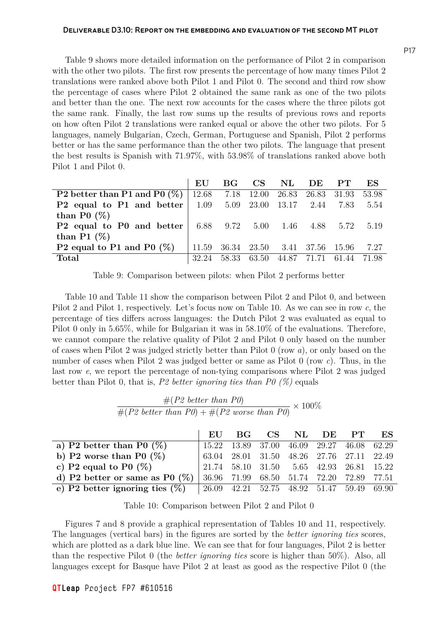Table 9 shows more detailed information on the performance of Pilot 2 in comparison with the other two pilots. The first row presents the percentage of how many times Pilot 2 translations were ranked above both Pilot 1 and Pilot 0. The second and third row show the perce[nt](#page-16-0)age of cases where Pilot 2 obtained the same rank as one of the two pilots and better than the one. The next row accounts for the cases where the three pilots got the same rank. Finally, the last row sums up the results of previous rows and reports on how often Pilot 2 translations were ranked equal or above the other two pilots. For 5 languages, namely Bulgarian, Czech, German, Portuguese and Spanish, Pilot 2 performs better or has the same performance than the other two pilots. The language that present the best results is Spanish with 71.97%, with 53.98% of translations ranked above both Pilot 1 and Pilot 0.

|                                                                                                                 | EU    | BG CS      |       | NL.                                | DE. | PT    | ES    |
|-----------------------------------------------------------------------------------------------------------------|-------|------------|-------|------------------------------------|-----|-------|-------|
| <b>P2</b> better than P1 and P0 $(\%)$   12.68                                                                  |       | 7.18 12.00 |       | 26.83 26.83 31.93                  |     |       | 53.98 |
| <b>P2</b> equal to P1 and better $\vert$ 1.09 5.09 23.00 13.17 2.44 7.83                                        |       |            |       |                                    |     |       | 5.54  |
| than P0 $(\%)$                                                                                                  |       |            |       |                                    |     |       |       |
| <b>P2</b> equal to P0 and better $\begin{array}{ l} 6.88 & 9.72 & 5.00 & 1.46 & 4.88 & 5.72 & 5.19 \end{array}$ |       |            |       |                                    |     |       |       |
| than P1 $(\%)$                                                                                                  |       |            |       |                                    |     |       |       |
| P2 equal to P1 and P0 $(\%)$                                                                                    |       |            |       | 11.59 36.34 23.50 3.41 37.56 15.96 |     |       | 7.27  |
| Total                                                                                                           | 32.24 | 58.33      | 63.50 | 44.87 71.71                        |     | 61.44 | 71.98 |

<span id="page-16-0"></span>Table 9: Comparison between pilots: when Pilot 2 performs better

Table 10 and Table 11 show the comparison between Pilot 2 and Pilot 0, and between Pilot 2 and Pilot 1, respectively. Let's focus now on Table 10. As we can see in row *c*, the percentage of ties differs across languages: the Dutch Pilot 2 was evaluated as equal to Pilot 0 o[nly](#page-16-1) in 5.65%, [whi](#page-17-0)le for Bulgarian it was in 58.10% of the evaluations. Therefore, we cannot compare the relative quality of Pilot 2 and Pil[ot](#page-16-1) 0 only based on the number of cases when Pilot 2 was judged strictly better than Pilot 0 (row *a*), or only based on the number of cases when Pilot 2 was judged better or same as Pilot 0 (row *c*). Thus, in the last row *e*, we report the percentage of non-tying comparisons where Pilot 2 was judged better than Pilot 0, that is, *P2 better ignoring ties than P0 (%)* equals

#(*P2 better than P0*)  $\frac{\pi(12 \text{ sector})}{\#(P2 \text{ better than } P0) + \#(P2 \text{ worse than } P0)} \times 100\%$ 

|                                   | EU | $\mathbf{B}$ $\mathbf{G}$ | CS NL DE PT                                                                               |  | ES |
|-----------------------------------|----|---------------------------|-------------------------------------------------------------------------------------------|--|----|
| a) P2 better than P0 $(\%)$       |    |                           | 15.22 13.89 37.00 46.09 29.27 46.08 62.29                                                 |  |    |
| b) P2 worse than P0 $(\%)$        |    |                           | $63.04 \quad 28.01 \quad 31.50 \quad 48.26 \quad 27.76 \quad 27.11 \quad 22.49$           |  |    |
| c) P2 equal to P0 $(\%)$          |    |                           | 21.74 58.10 31.50 5.65 42.93 26.81 15.22                                                  |  |    |
| d) P2 better or same as P0 $(\%)$ |    |                           | 36.96 71.99 68.50 51.74 72.20 72.89 77.51                                                 |  |    |
| e) P2 better ignoring ties $(\%)$ |    |                           | $\begin{array}{cccccc} 26.09 & 42.21 & 52.75 & 48.92 & 51.47 & 59.49 & 69.90 \end{array}$ |  |    |

<span id="page-16-1"></span>Table 10: Comparison between Pilot 2 and Pilot 0

Figures 7 and 8 provide a graphical representation of Tables 10 and 11, respectively. The languages (vertical bars) in the figures are sorted by the *better ignoring ties* scores, which are plotted as a dark blue line. We can see that for four languages, Pilot 2 is better than the re[sp](#page-17-1)ecti[ve](#page-18-0) Pilot 0 (the *better ignoring ties* score is hig[her](#page-16-1) than [50](#page-17-0)%). Also, all languages except for Basque have Pilot 2 at least as good as the respective Pilot 0 (the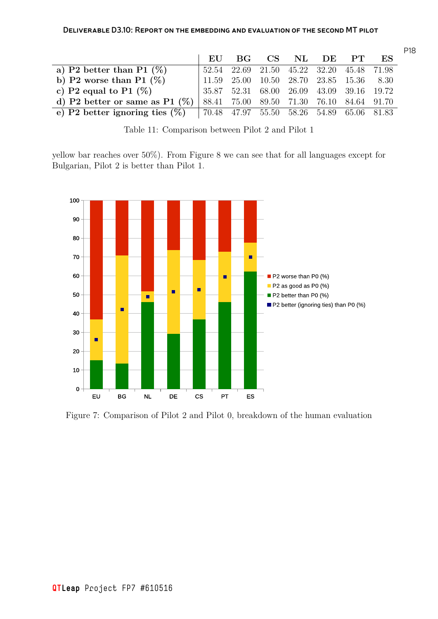|                                                                               | EU                                         | – BG |  | CS NL DE PT                               | ES |
|-------------------------------------------------------------------------------|--------------------------------------------|------|--|-------------------------------------------|----|
| a) P2 better than P1 $(\%)$                                                   |                                            |      |  | 52.54 22.69 21.50 45.22 32.20 45.48 71.98 |    |
| b) P2 worse than P1 $(\%)$                                                    | $11.59$ 25.00 10.50 28.70 23.85 15.36 8.30 |      |  |                                           |    |
| c) P2 equal to P1 $(\%)$                                                      |                                            |      |  | 35.87 52.31 68.00 26.09 43.09 39.16 19.72 |    |
| d) P2 better or same as P1 $(\%)$                                             |                                            |      |  | 88.41 75.00 89.50 71.30 76.10 84.64 91.70 |    |
| e) P2 better ignoring ties $(\%)$   70.48 47.97 55.50 58.26 54.89 65.06 81.83 |                                            |      |  |                                           |    |

<span id="page-17-0"></span>Table 11: Comparison between Pilot 2 and Pilot 1

yellow bar reaches over 50%). From Figure 8 we can see that for all languages except for Bulgarian, Pilot 2 is better than Pilot 1.



<span id="page-17-1"></span>Figure 7: Comparison of Pilot 2 and Pilot 0, breakdown of the human evaluation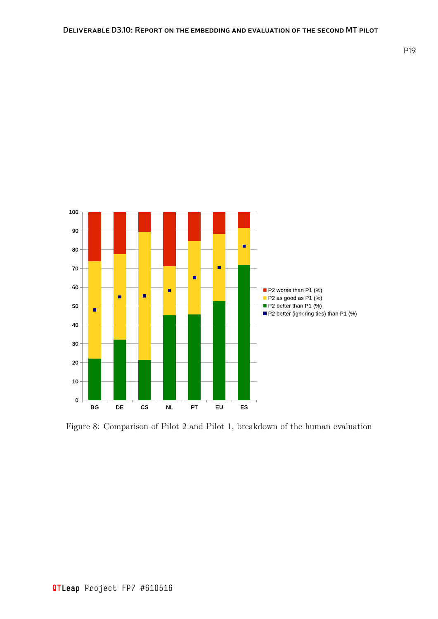

<span id="page-18-0"></span>Figure 8: Comparison of Pilot 2 and Pilot 1, breakdown of the human evaluation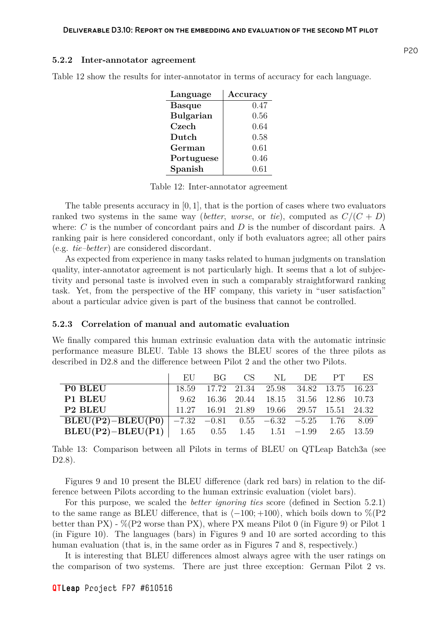#### **5.2.2 Inter-annotator agreement**

| Language         | Accuracy |
|------------------|----------|
| <b>Basque</b>    | 0.47     |
| <b>Bulgarian</b> | 0.56     |
| Czech            | 0.64     |
| Dutch            | 0.58     |
| German           | 0.61     |
| Portuguese       | 0.46     |
| Spanish          | 0.61     |

<span id="page-19-0"></span>Table 12 show the results for inter-annotator in terms of accuracy for each language.

Table 12: Inter-annotator agreement

The table presents accuracy in [0*,* 1], that is the portion of cases where two evaluators ranked two systems in the same way (*better*, *worse*, or *tie*), computed as  $C/(C+D)$ where: *C* is the number of concordant pairs and *D* is the number of discordant pairs. A ranking pair is here considered concordant, only if both evaluators agree; all other pairs (e.g. *tie–better*) are considered discordant.

As expected from experience in many tasks related to human judgments on translation quality, inter-annotator agreement is not particularly high. It seems that a lot of subjectivity and personal taste is involved even in such a comparably straightforward ranking task. Yet, from the perspective of the HF company, this variety in "user satisfaction" about a particular advice given is part of the business that cannot be controlled.

#### **5.2.3 Correlation of manual and automatic evaluation**

We finally compared this human extrinsic evaluation data with the automatic intrinsic performance measure BLEU. Table 13 shows the BLEU scores of the three pilots as described in D2.8 and the difference between Pilot 2 and the other two Pilots.

|                                                            |  |  | EU BG CS NL DE PT ES                                                               |  |
|------------------------------------------------------------|--|--|------------------------------------------------------------------------------------|--|
| P0 BLEU                                                    |  |  | 18.59 17.72 21.34 25.98 34.82 13.75 16.23                                          |  |
| P1 BLEU                                                    |  |  | 9.62 16.36 20.44 18.15 31.56 12.86 10.73                                           |  |
| P <sub>2</sub> BLEU                                        |  |  | $11.27 \qquad 16.91 \quad 21.89 \qquad 19.66 \qquad 29.57 \quad 15.51 \quad 24.32$ |  |
| BLEU(P2)-BLEU(P0)   -7.32 -0.81 0.55 -6.32 -5.25 1.76 8.09 |  |  |                                                                                    |  |
| BLEU(P2)-BLEU(P1)   1.65 0.55 1.45 1.51 -1.99 2.65 13.59   |  |  |                                                                                    |  |

Table 13: Comparison between all Pilots in terms of BLEU on QTLeap Batch3a (see D2.8).

<span id="page-19-1"></span>Figures 9 and 10 present the BLEU difference (dark red bars) in relation to the difference between Pilots according to the human extrinsic evaluation (violet bars).

For this purpose, we scaled the *better ignoring ties* score (defined in Section 5.2.1) to the sam[e r](#page-20-0)ange [as](#page-20-1) BLEU difference, that is *⟨−*100; +100*⟩*, which boils down to %(P2 better than PX) - %(P2 worse than PX), where PX means Pilot 0 (in Figure 9) or Pilot 1 (in Figure 10). The languages (bars) in Figures 9 and 10 are sorted according t[o this](#page-15-1) human evaluation (that is, in the same order as in Figures 7 and 8, respectively.)

It is interesting that BLEU differences almost always agree with the us[er](#page-20-0) ratings on the compa[riso](#page-20-1)n of two systems. There are just [t](#page-20-0)hree [exc](#page-20-1)eption: German Pilot 2 vs.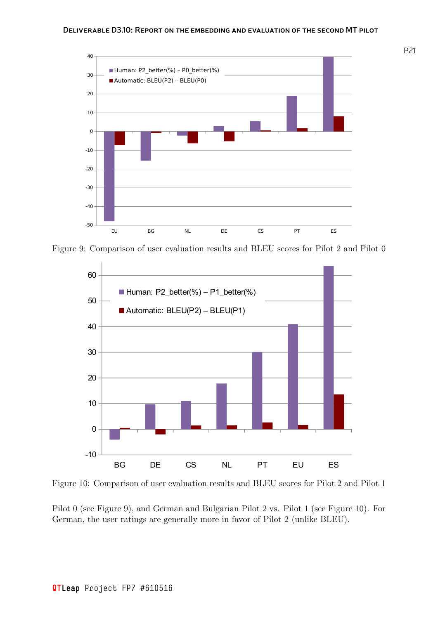

Figure 9: Comparison of user evaluation results and BLEU scores for Pilot 2 and Pilot 0

<span id="page-20-0"></span>

Figure 10: Comparison of user evaluation results and BLEU scores for Pilot 2 and Pilot 1

<span id="page-20-1"></span>Pilot 0 (see Figure 9), and German and Bulgarian Pilot 2 vs. Pilot 1 (see Figure 10). For German, the user ratings are generally more in favor of Pilot 2 (unlike BLEU).